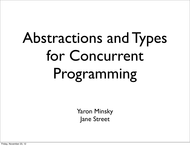# Abstractions and Types for Concurrent Programming

Yaron Minsky Jane Street

Friday, November 23, 12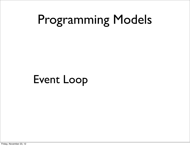Event Loop

Friday, November 23, 12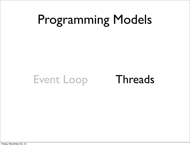#### Event Loop Threads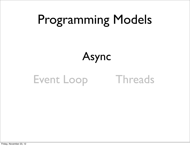#### Async

#### Event Loop Threads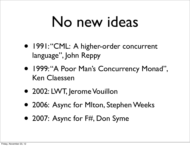### No new ideas

- 1991: "CML: A higher-order concurrent language", John Reppy
- 1999: "A Poor Man's Concurrency Monad", Ken Claessen
- 2002: LWT, Jerome Vouillon
- 2006: Async for Mlton, Stephen Weeks
- 2007: Async for F#, Don Syme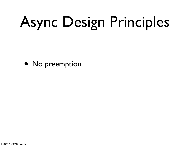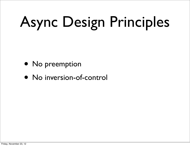- No preemption
- No inversion-of-control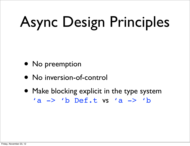- No preemption
- No inversion-of-control
- Make blocking explicit in the type system 'a -> 'b Def.t vs 'a -> 'b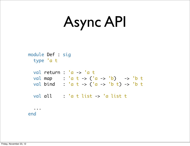## Async API

 module Def : sig type 'a t

|  |         | val return : $a \rightarrow a t$        |  |
|--|---------|-----------------------------------------|--|
|  |         | val map : 'a t -> ('a -> 'b) -> 'b t    |  |
|  |         | val bind : 'a t -> ('a -> 'b t) -> 'b t |  |
|  | val all | : 'a t list -> 'a list t                |  |
|  |         |                                         |  |

end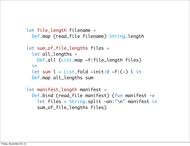```
 let file_length filename =
   Def.map (read_file filename) String.length
 let sum_of_file_lengths files =
   let all_lengths =
     Def.all (List.map ~f:file_length files)
   in
  let sum l = List.float \siminit:0 \simf:(+) l in
   Def.map all_lengths sum
 let manifest_length manifest =
```

```
 Def.bind (read_file manifest) (fun manifest ->
  let files = String.split ~on:'\n' manifest in
   sum_of_file_lengths files)
```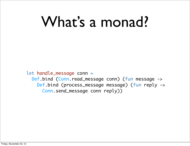## What's a monad?

let handle\_message conn = Def.bind (Conn.read\_message conn) (fun message -> Def.bind (process\_message message) (fun reply -> Conn.send\_message conn reply))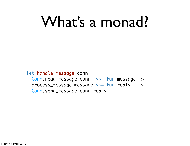## What's a monad?

let handle\_message conn =

 Conn.read\_message conn >>= fun message -> process\_message message >>= fun reply -> Conn.send\_message conn reply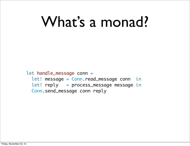## What's a monad?

let handle\_message conn = let! message = Conn.read\_message conn in let! reply = process\_message message in Conn.send\_message conn reply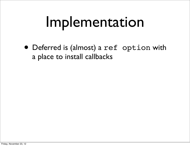• Deferred is (almost) a ref option with a place to install callbacks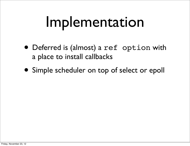- Deferred is (almost) a ref option with a place to install callbacks
- Simple scheduler on top of select or epoll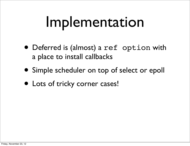- Deferred is (almost) a ref option with a place to install callbacks
- Simple scheduler on top of select or epoll
- Lots of tricky corner cases!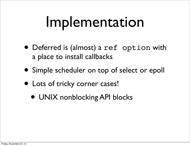- Deferred is (almost) a ref option with a place to install callbacks
- Simple scheduler on top of select or epoll
- Lots of tricky corner cases!
	- UNIX nonblocking API blocks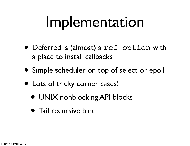- Deferred is (almost) a ref option with a place to install callbacks
- Simple scheduler on top of select or epoll
- Lots of tricky corner cases!
	- UNIX nonblocking API blocks
	- Tail recursive bind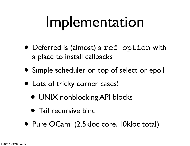- Deferred is (almost) a ref option with a place to install callbacks
- Simple scheduler on top of select or epoll
- Lots of tricky corner cases!
	- UNIX nonblocking API blocks
	- Tail recursive bind
- Pure OCaml (2.5kloc core, 10kloc total)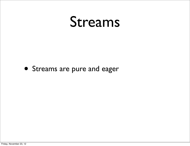#### • Streams are pure and eager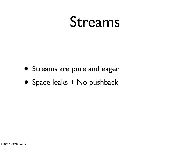- Streams are pure and eager
- Space leaks + No pushback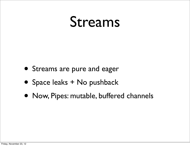- Streams are pure and eager
- Space leaks + No pushback
- Now, Pipes: mutable, buffered channels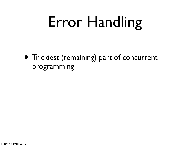• Trickiest (remaining) part of concurrent programming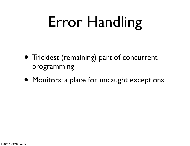- Trickiest (remaining) part of concurrent programming
- Monitors: a place for uncaught exceptions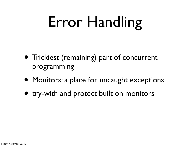- Trickiest (remaining) part of concurrent programming
- Monitors: a place for uncaught exceptions
- try-with and protect built on monitors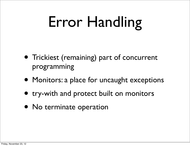- Trickiest (remaining) part of concurrent programming
- Monitors: a place for uncaught exceptions
- try-with and protect built on monitors
- No terminate operation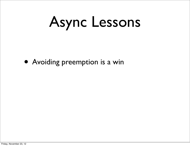• Avoiding preemption is a win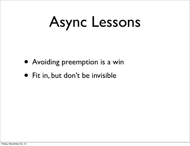- Avoiding preemption is a win
- Fit in, but don't be invisible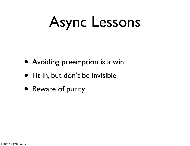- Avoiding preemption is a win
- Fit in, but don't be invisible
- Beware of purity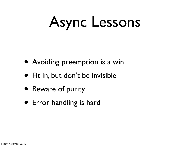- Avoiding preemption is a win
- Fit in, but don't be invisible
- Beware of purity
- Error handling is hard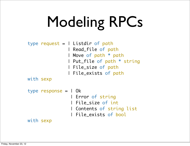# Modeling RPCs

```
type request = l Listdir of path
                 | Read_file of path
                 | Move of path * path
                 | Put_file of path * string
                 | File_size of path
                 | File_exists of path
with sexp
type response = | Ok
                  | Error of string
                  | File_size of int
                  | Contents of string list
                  | File_exists of bool
```
with sexp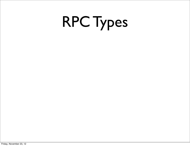# RPC Types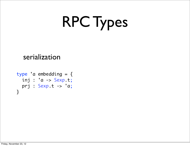# RPC Types

#### serialization

```
type 'a embedding = \{ inj : 'a -> Sexp.t;
  prj : Sexp.t -> 'a;
}
```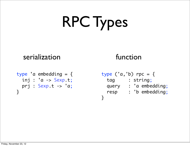# RPC Types

#### serialization function

#### type 'a embedding  $= \{$  inj : 'a -> Sexp.t; prj : Sexp.t -> 'a; }

type  $('a,'b)$  rpc = { tag : string; query : 'a embedding; resp : 'b embedding; }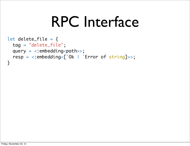```
let delete_file = \{ tag = "delete_file";
  query = \langle: embedding\langlepath>>;
   resp = <:embedding<[`Ok | `Error of string]>>;
}
```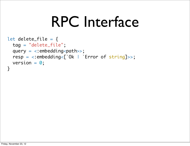```
let delete_file = \{ tag = "delete_file";
  query = \langle: embedding\langlepath>>;
   resp = <:embedding<[`Ok | `Error of string]>>;
  version = 0;
}
```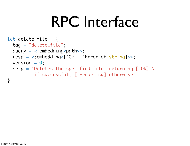```
let delete_file = \{ tag = "delete_file";
  query = \langle: embedding\langlepath\rangle;
   resp = <:embedding<[`Ok | `Error of string]>>;
  version = 0;
  help = "Deletes the specified file, returning [\hat{O}k] \
            if successful, [`Error msg] otherwise";
<u>}</u>
```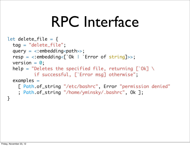```
let delete_file = \{ tag = "delete_file";
  query = \langle: embedding\langlepath\rangle;
   resp = <:embedding<[`Ok | `Error of string]>>;
  version = 0;
  help = "Deletes the specified file, returning [\hat{O}k] \
            if successful, [`Error msg] otherwise";
   examples =
     [ Path.of_string "/etc/bashrc", Error "permission denied"
     ; Path.of_string "/home/yminsky/.bashrc", Ok ];
}
```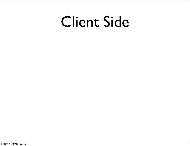#### Client Side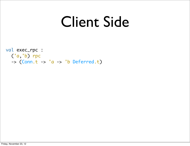#### Client Side

val exec\_rpc : ('a,'b) rpc  $\Rightarrow$  (Conn.t  $\Rightarrow$  'a  $\Rightarrow$  'b Deferred.t)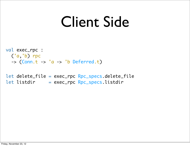#### Client Side

val exec\_rpc : ('a,'b) rpc  $\Rightarrow$  (Conn.t  $\Rightarrow$  'a  $\Rightarrow$  'b Deferred.t)

let delete\_file = exec\_rpc Rpc\_specs.delete\_file  $let$  listdir = exec\_rpc Rpc\_specs.listdir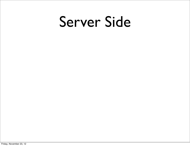#### Server Side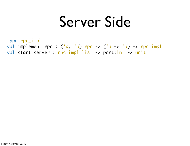#### Server Side

type rpc\_impl val implement\_rpc :  $(a, 'b)$  rpc ->  $(a -> 'b)$  -> rpc\_impl val start\_server : rpc\_impl list -> port:int -> unit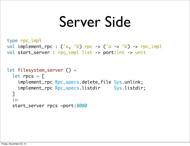#### Server Side

```
let filesystem_server () =
  let rpcs = [ implement_rpc Rpc_specs.delete_file Sys.unlink;
    implement_rpc Rpc_specs.listdir Sys.listdir;
   ]
   in
   start_server rpcs ~port:8080
type rpc_impl
val implement_rpc : (a, 'b) rpc -> (a \rightarrow 'b) -> rpc_impl
val start_server : rpc_impl list -> port:int -> unit
```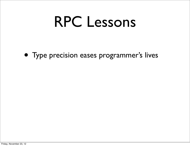• Type precision eases programmer's lives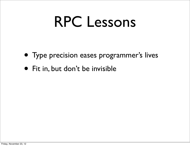- Type precision eases programmer's lives
- Fit in, but don't be invisible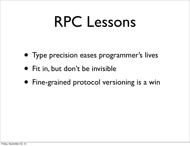- Type precision eases programmer's lives
- Fit in, but don't be invisible
- Fine-grained protocol versioning is a win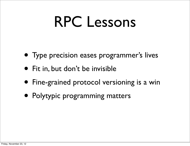- Type precision eases programmer's lives
- Fit in, but don't be invisible
- Fine-grained protocol versioning is a win
- Polytypic programming matters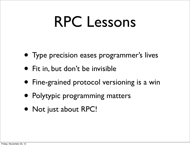- Type precision eases programmer's lives
- Fit in, but don't be invisible
- Fine-grained protocol versioning is a win
- Polytypic programming matters
- Not just about RPC!